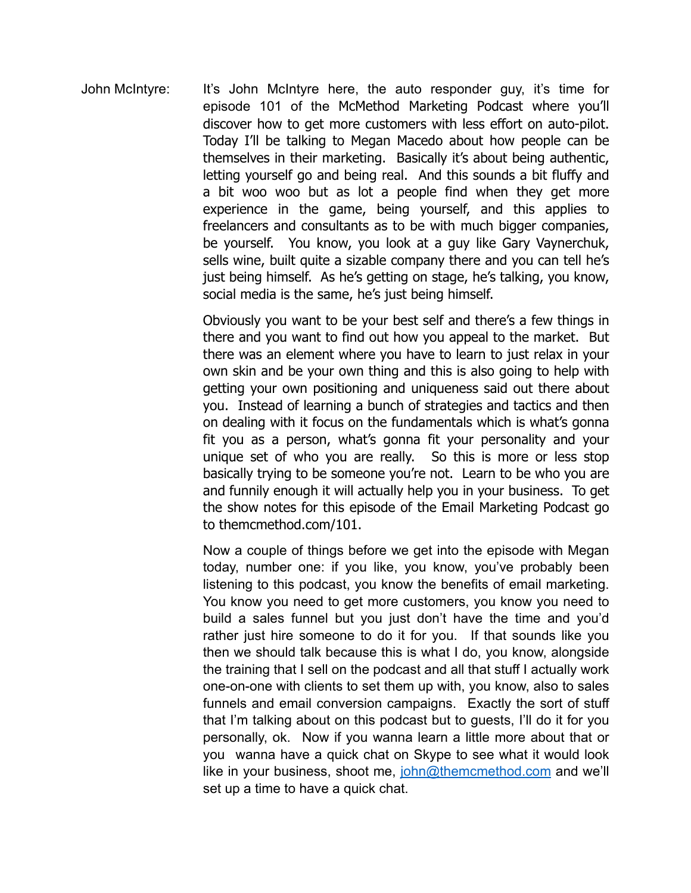John McIntyre: It's John McIntyre here, the auto responder guy, it's time for episode 101 of the McMethod Marketing Podcast where you'll discover how to get more customers with less effort on auto-pilot. Today I'll be talking to Megan Macedo about how people can be themselves in their marketing. Basically it's about being authentic, letting yourself go and being real. And this sounds a bit fluffy and a bit woo woo but as lot a people find when they get more experience in the game, being yourself, and this applies to freelancers and consultants as to be with much bigger companies, be yourself. You know, you look at a guy like Gary Vaynerchuk, sells wine, built quite a sizable company there and you can tell he's just being himself. As he's getting on stage, he's talking, you know, social media is the same, he's just being himself.

> Obviously you want to be your best self and there's a few things in there and you want to find out how you appeal to the market. But there was an element where you have to learn to just relax in your own skin and be your own thing and this is also going to help with getting your own positioning and uniqueness said out there about you. Instead of learning a bunch of strategies and tactics and then on dealing with it focus on the fundamentals which is what's gonna fit you as a person, what's gonna fit your personality and your unique set of who you are really. So this is more or less stop basically trying to be someone you're not. Learn to be who you are and funnily enough it will actually help you in your business. To get the show notes for this episode of the Email Marketing Podcast go to themcmethod.com/101.

> Now a couple of things before we get into the episode with Megan today, number one: if you like, you know, you've probably been listening to this podcast, you know the benefits of email marketing. You know you need to get more customers, you know you need to build a sales funnel but you just don't have the time and you'd rather just hire someone to do it for you. If that sounds like you then we should talk because this is what I do, you know, alongside the training that I sell on the podcast and all that stuff I actually work one-on-one with clients to set them up with, you know, also to sales funnels and email conversion campaigns. Exactly the sort of stuff that I'm talking about on this podcast but to guests, I'll do it for you personally, ok. Now if you wanna learn a little more about that or you wanna have a quick chat on Skype to see what it would look like in your business, shoot me, john@themcmethod.com and we'll set up a time to have a quick chat.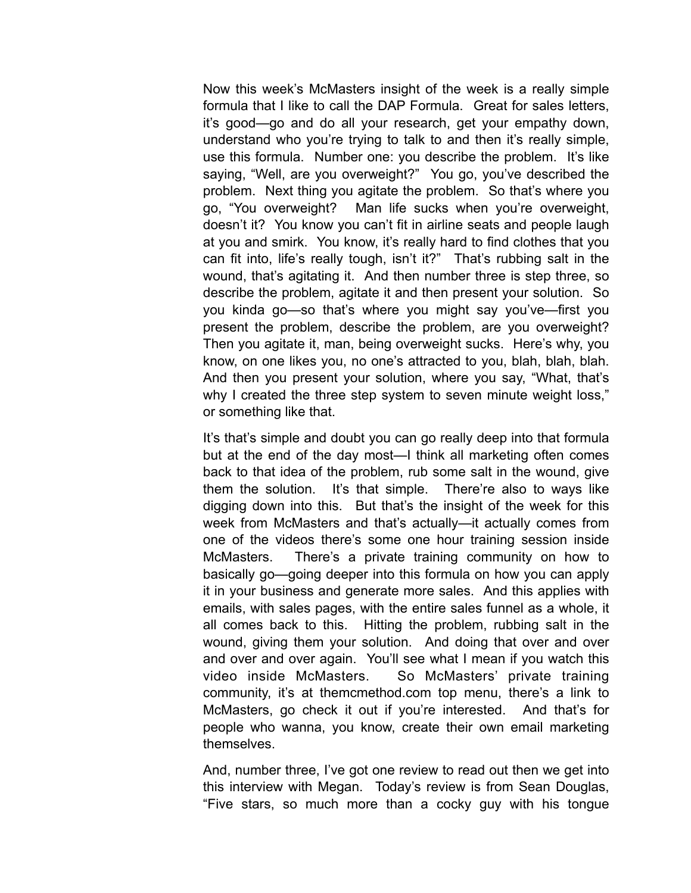Now this week's McMasters insight of the week is a really simple formula that I like to call the DAP Formula. Great for sales letters, it's good—go and do all your research, get your empathy down, understand who you're trying to talk to and then it's really simple, use this formula. Number one: you describe the problem. It's like saying, "Well, are you overweight?" You go, you've described the problem. Next thing you agitate the problem. So that's where you go, "You overweight? Man life sucks when you're overweight, doesn't it? You know you can't fit in airline seats and people laugh at you and smirk. You know, it's really hard to find clothes that you can fit into, life's really tough, isn't it?" That's rubbing salt in the wound, that's agitating it. And then number three is step three, so describe the problem, agitate it and then present your solution. So you kinda go—so that's where you might say you've—first you present the problem, describe the problem, are you overweight? Then you agitate it, man, being overweight sucks. Here's why, you know, on one likes you, no one's attracted to you, blah, blah, blah. And then you present your solution, where you say, "What, that's why I created the three step system to seven minute weight loss," or something like that.

It's that's simple and doubt you can go really deep into that formula but at the end of the day most—I think all marketing often comes back to that idea of the problem, rub some salt in the wound, give them the solution. It's that simple. There're also to ways like digging down into this. But that's the insight of the week for this week from McMasters and that's actually—it actually comes from one of the videos there's some one hour training session inside McMasters. There's a private training community on how to basically go—going deeper into this formula on how you can apply it in your business and generate more sales. And this applies with emails, with sales pages, with the entire sales funnel as a whole, it all comes back to this. Hitting the problem, rubbing salt in the wound, giving them your solution. And doing that over and over and over and over again. You'll see what I mean if you watch this video inside McMasters. So McMasters' private training community, it's at themcmethod.com top menu, there's a link to McMasters, go check it out if you're interested. And that's for people who wanna, you know, create their own email marketing themselves.

And, number three, I've got one review to read out then we get into this interview with Megan. Today's review is from Sean Douglas, "Five stars, so much more than a cocky guy with his tongue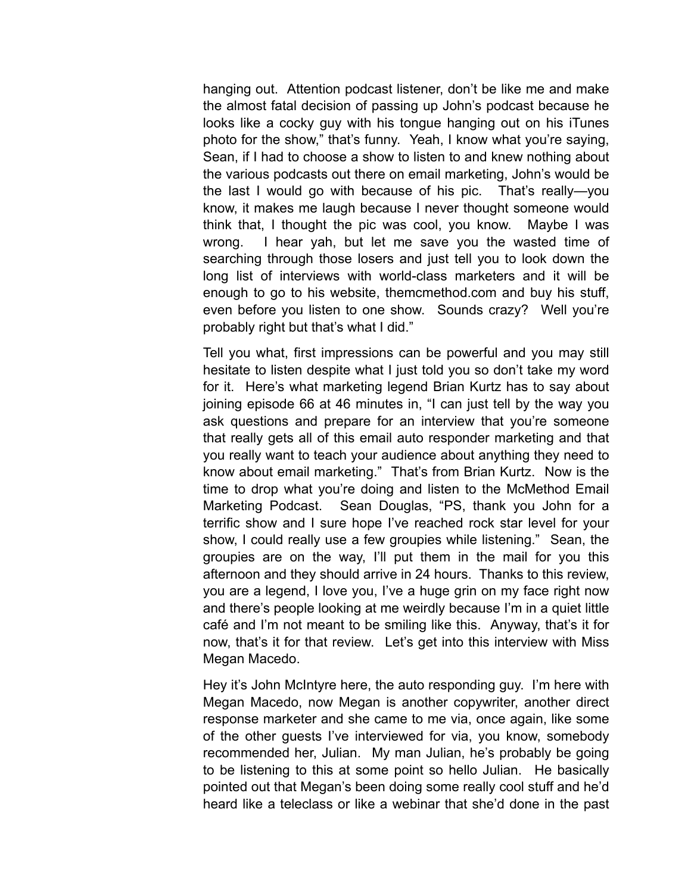hanging out. Attention podcast listener, don't be like me and make the almost fatal decision of passing up John's podcast because he looks like a cocky guy with his tongue hanging out on his iTunes photo for the show," that's funny. Yeah, I know what you're saying, Sean, if I had to choose a show to listen to and knew nothing about the various podcasts out there on email marketing, John's would be the last I would go with because of his pic. That's really—you know, it makes me laugh because I never thought someone would think that, I thought the pic was cool, you know. Maybe I was wrong. I hear yah, but let me save you the wasted time of searching through those losers and just tell you to look down the long list of interviews with world-class marketers and it will be enough to go to his website, themcmethod.com and buy his stuff, even before you listen to one show. Sounds crazy? Well you're probably right but that's what I did."

Tell you what, first impressions can be powerful and you may still hesitate to listen despite what I just told you so don't take my word for it. Here's what marketing legend Brian Kurtz has to say about joining episode 66 at 46 minutes in, "I can just tell by the way you ask questions and prepare for an interview that you're someone that really gets all of this email auto responder marketing and that you really want to teach your audience about anything they need to know about email marketing." That's from Brian Kurtz. Now is the time to drop what you're doing and listen to the McMethod Email Marketing Podcast. Sean Douglas, "PS, thank you John for a terrific show and I sure hope I've reached rock star level for your show, I could really use a few groupies while listening." Sean, the groupies are on the way, I'll put them in the mail for you this afternoon and they should arrive in 24 hours. Thanks to this review, you are a legend, I love you, I've a huge grin on my face right now and there's people looking at me weirdly because I'm in a quiet little café and I'm not meant to be smiling like this. Anyway, that's it for now, that's it for that review. Let's get into this interview with Miss Megan Macedo.

Hey it's John McIntyre here, the auto responding guy. I'm here with Megan Macedo, now Megan is another copywriter, another direct response marketer and she came to me via, once again, like some of the other guests I've interviewed for via, you know, somebody recommended her, Julian. My man Julian, he's probably be going to be listening to this at some point so hello Julian. He basically pointed out that Megan's been doing some really cool stuff and he'd heard like a teleclass or like a webinar that she'd done in the past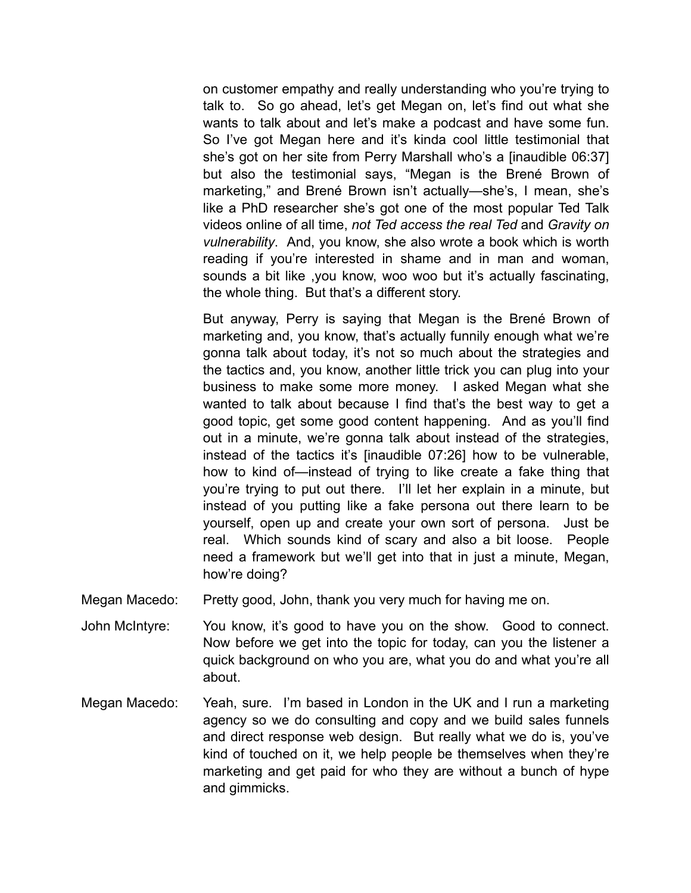on customer empathy and really understanding who you're trying to talk to. So go ahead, let's get Megan on, let's find out what she wants to talk about and let's make a podcast and have some fun. So I've got Megan here and it's kinda cool little testimonial that she's got on her site from Perry Marshall who's a [inaudible 06:37] but also the testimonial says, "Megan is the Brené Brown of marketing," and Brené Brown isn't actually—she's, I mean, she's like a PhD researcher she's got one of the most popular Ted Talk videos online of all time, *not Ted access the real Ted* and *Gravity on vulnerability*. And, you know, she also wrote a book which is worth reading if you're interested in shame and in man and woman, sounds a bit like ,you know, woo woo but it's actually fascinating, the whole thing. But that's a different story.

But anyway, Perry is saying that Megan is the Brené Brown of marketing and, you know, that's actually funnily enough what we're gonna talk about today, it's not so much about the strategies and the tactics and, you know, another little trick you can plug into your business to make some more money. I asked Megan what she wanted to talk about because I find that's the best way to get a good topic, get some good content happening. And as you'll find out in a minute, we're gonna talk about instead of the strategies, instead of the tactics it's [inaudible 07:26] how to be vulnerable, how to kind of—instead of trying to like create a fake thing that you're trying to put out there. I'll let her explain in a minute, but instead of you putting like a fake persona out there learn to be yourself, open up and create your own sort of persona. Just be real. Which sounds kind of scary and also a bit loose. People need a framework but we'll get into that in just a minute, Megan, how're doing?

Megan Macedo: Pretty good, John, thank you very much for having me on.

- John McIntyre: You know, it's good to have you on the show. Good to connect. Now before we get into the topic for today, can you the listener a quick background on who you are, what you do and what you're all about.
- Megan Macedo: Yeah, sure. I'm based in London in the UK and I run a marketing agency so we do consulting and copy and we build sales funnels and direct response web design. But really what we do is, you've kind of touched on it, we help people be themselves when they're marketing and get paid for who they are without a bunch of hype and gimmicks.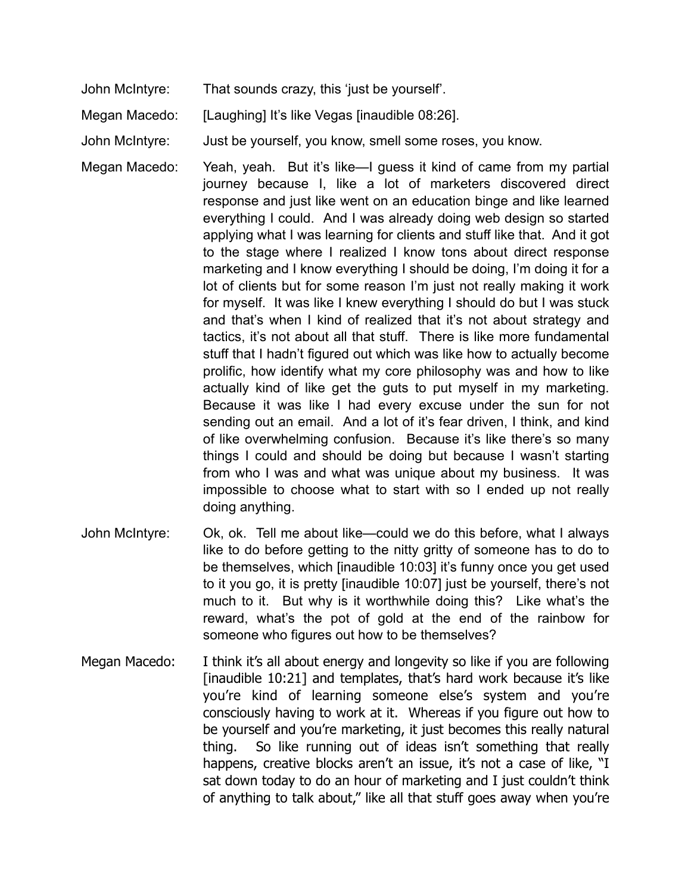John McIntyre: That sounds crazy, this 'just be yourself'.

Megan Macedo: [Laughing] It's like Vegas [inaudible 08:26].

John McIntyre: Just be yourself, you know, smell some roses, you know.

- Megan Macedo: Yeah, yeah. But it's like—I guess it kind of came from my partial journey because I, like a lot of marketers discovered direct response and just like went on an education binge and like learned everything I could. And I was already doing web design so started applying what I was learning for clients and stuff like that. And it got to the stage where I realized I know tons about direct response marketing and I know everything I should be doing, I'm doing it for a lot of clients but for some reason I'm just not really making it work for myself. It was like I knew everything I should do but I was stuck and that's when I kind of realized that it's not about strategy and tactics, it's not about all that stuff. There is like more fundamental stuff that I hadn't figured out which was like how to actually become prolific, how identify what my core philosophy was and how to like actually kind of like get the guts to put myself in my marketing. Because it was like I had every excuse under the sun for not sending out an email. And a lot of it's fear driven, I think, and kind of like overwhelming confusion. Because it's like there's so many things I could and should be doing but because I wasn't starting from who I was and what was unique about my business. It was impossible to choose what to start with so I ended up not really doing anything.
- John McIntyre: Ok, ok. Tell me about like—could we do this before, what I always like to do before getting to the nitty gritty of someone has to do to be themselves, which [inaudible 10:03] it's funny once you get used to it you go, it is pretty [inaudible 10:07] just be yourself, there's not much to it. But why is it worthwhile doing this? Like what's the reward, what's the pot of gold at the end of the rainbow for someone who figures out how to be themselves?
- Megan Macedo: I think it's all about energy and longevity so like if you are following [inaudible 10:21] and templates, that's hard work because it's like you're kind of learning someone else's system and you're consciously having to work at it. Whereas if you figure out how to be yourself and you're marketing, it just becomes this really natural thing. So like running out of ideas isn't something that really happens, creative blocks aren't an issue, it's not a case of like, "I sat down today to do an hour of marketing and I just couldn't think of anything to talk about," like all that stuff goes away when you're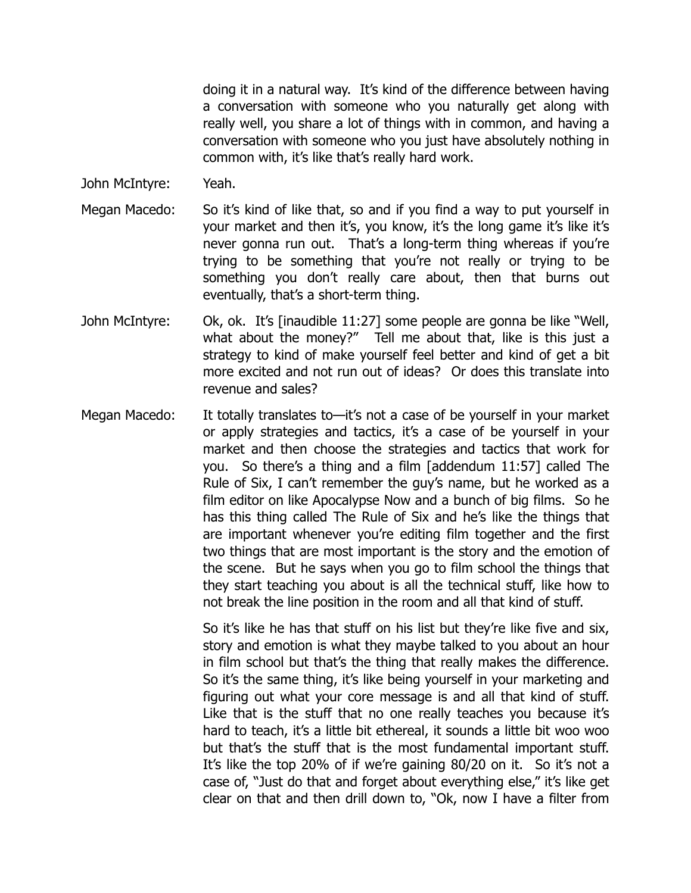doing it in a natural way. It's kind of the difference between having a conversation with someone who you naturally get along with really well, you share a lot of things with in common, and having a conversation with someone who you just have absolutely nothing in common with, it's like that's really hard work.

- John McIntyre: Yeah.
- Megan Macedo: So it's kind of like that, so and if you find a way to put yourself in your market and then it's, you know, it's the long game it's like it's never gonna run out. That's a long-term thing whereas if you're trying to be something that you're not really or trying to be something you don't really care about, then that burns out eventually, that's a short-term thing.
- John McIntyre: Ok, ok. It's [inaudible 11:27] some people are gonna be like "Well, what about the money?" Tell me about that, like is this just a strategy to kind of make yourself feel better and kind of get a bit more excited and not run out of ideas? Or does this translate into revenue and sales?
- Megan Macedo: It totally translates to—it's not a case of be yourself in your market or apply strategies and tactics, it's a case of be yourself in your market and then choose the strategies and tactics that work for you. So there's a thing and a film [addendum 11:57] called The Rule of Six, I can't remember the guy's name, but he worked as a film editor on like Apocalypse Now and a bunch of big films. So he has this thing called The Rule of Six and he's like the things that are important whenever you're editing film together and the first two things that are most important is the story and the emotion of the scene. But he says when you go to film school the things that they start teaching you about is all the technical stuff, like how to not break the line position in the room and all that kind of stuff.

So it's like he has that stuff on his list but they're like five and six, story and emotion is what they maybe talked to you about an hour in film school but that's the thing that really makes the difference. So it's the same thing, it's like being yourself in your marketing and figuring out what your core message is and all that kind of stuff. Like that is the stuff that no one really teaches you because it's hard to teach, it's a little bit ethereal, it sounds a little bit woo woo but that's the stuff that is the most fundamental important stuff. It's like the top 20% of if we're gaining 80/20 on it. So it's not a case of, "Just do that and forget about everything else," it's like get clear on that and then drill down to, "Ok, now I have a filter from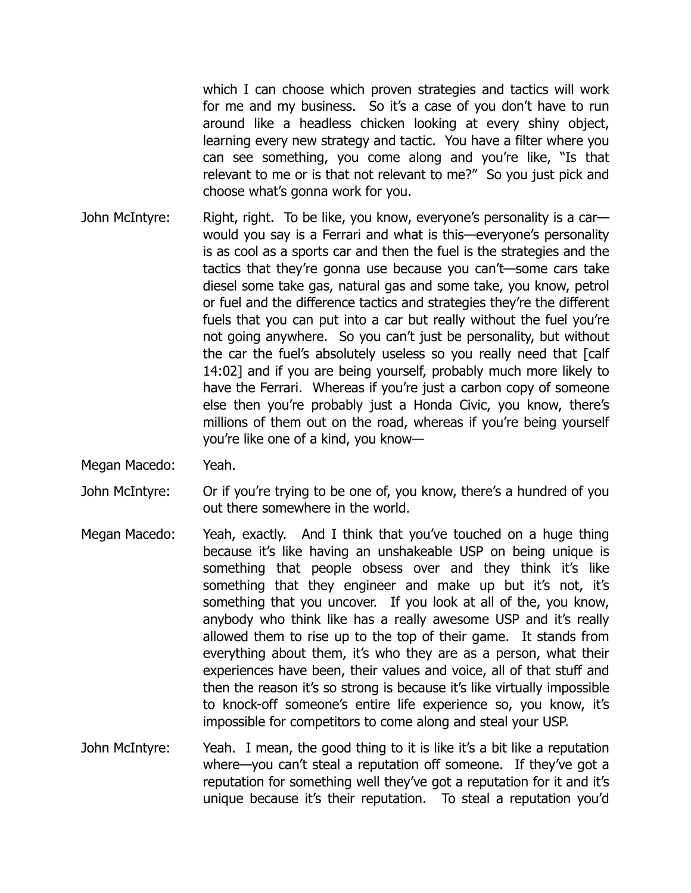which I can choose which proven strategies and tactics will work for me and my business. So it's a case of you don't have to run around like a headless chicken looking at every shiny object, learning every new strategy and tactic. You have a filter where you can see something, you come along and you're like, "Is that relevant to me or is that not relevant to me?" So you just pick and choose what's gonna work for you.

- John McIntyre: Right, right. To be like, you know, everyone's personality is a car would you say is a Ferrari and what is this—everyone's personality is as cool as a sports car and then the fuel is the strategies and the tactics that they're gonna use because you can't—some cars take diesel some take gas, natural gas and some take, you know, petrol or fuel and the difference tactics and strategies they're the different fuels that you can put into a car but really without the fuel you're not going anywhere. So you can't just be personality, but without the car the fuel's absolutely useless so you really need that [calf 14:02] and if you are being yourself, probably much more likely to have the Ferrari. Whereas if you're just a carbon copy of someone else then you're probably just a Honda Civic, you know, there's millions of them out on the road, whereas if you're being yourself you're like one of a kind, you know—
- Megan Macedo: Yeah.
- John McIntyre: Or if you're trying to be one of, you know, there's a hundred of you out there somewhere in the world.
- Megan Macedo: Yeah, exactly. And I think that you've touched on a huge thing because it's like having an unshakeable USP on being unique is something that people obsess over and they think it's like something that they engineer and make up but it's not, it's something that you uncover. If you look at all of the, you know, anybody who think like has a really awesome USP and it's really allowed them to rise up to the top of their game. It stands from everything about them, it's who they are as a person, what their experiences have been, their values and voice, all of that stuff and then the reason it's so strong is because it's like virtually impossible to knock-off someone's entire life experience so, you know, it's impossible for competitors to come along and steal your USP.
- John McIntyre: Yeah. I mean, the good thing to it is like it's a bit like a reputation where—you can't steal a reputation off someone. If they've got a reputation for something well they've got a reputation for it and it's unique because it's their reputation. To steal a reputation you'd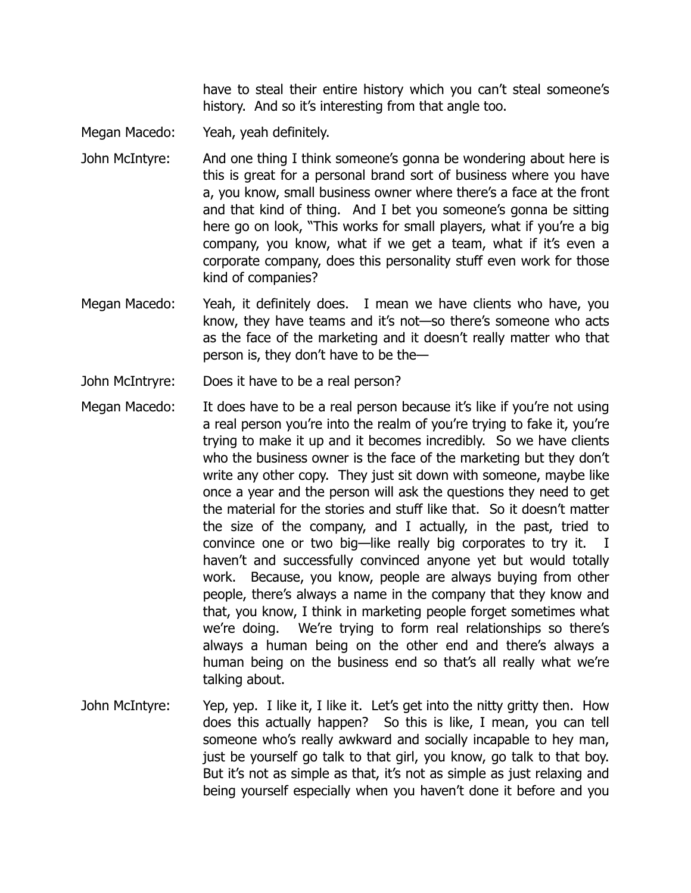have to steal their entire history which you can't steal someone's history. And so it's interesting from that angle too.

- Megan Macedo: Yeah, yeah definitely.
- John McIntyre: And one thing I think someone's gonna be wondering about here is this is great for a personal brand sort of business where you have a, you know, small business owner where there's a face at the front and that kind of thing. And I bet you someone's gonna be sitting here go on look, "This works for small players, what if you're a big company, you know, what if we get a team, what if it's even a corporate company, does this personality stuff even work for those kind of companies?
- Megan Macedo: Yeah, it definitely does. I mean we have clients who have, you know, they have teams and it's not—so there's someone who acts as the face of the marketing and it doesn't really matter who that person is, they don't have to be the—
- John McIntryre: Does it have to be a real person?
- Megan Macedo: It does have to be a real person because it's like if you're not using a real person you're into the realm of you're trying to fake it, you're trying to make it up and it becomes incredibly. So we have clients who the business owner is the face of the marketing but they don't write any other copy. They just sit down with someone, maybe like once a year and the person will ask the questions they need to get the material for the stories and stuff like that. So it doesn't matter the size of the company, and I actually, in the past, tried to convince one or two big—like really big corporates to try it. I haven't and successfully convinced anyone yet but would totally work. Because, you know, people are always buying from other people, there's always a name in the company that they know and that, you know, I think in marketing people forget sometimes what we're doing. We're trying to form real relationships so there's always a human being on the other end and there's always a human being on the business end so that's all really what we're talking about.
- John McIntyre: Yep, yep. I like it, I like it. Let's get into the nitty gritty then. How does this actually happen? So this is like, I mean, you can tell someone who's really awkward and socially incapable to hey man, just be yourself go talk to that girl, you know, go talk to that boy. But it's not as simple as that, it's not as simple as just relaxing and being yourself especially when you haven't done it before and you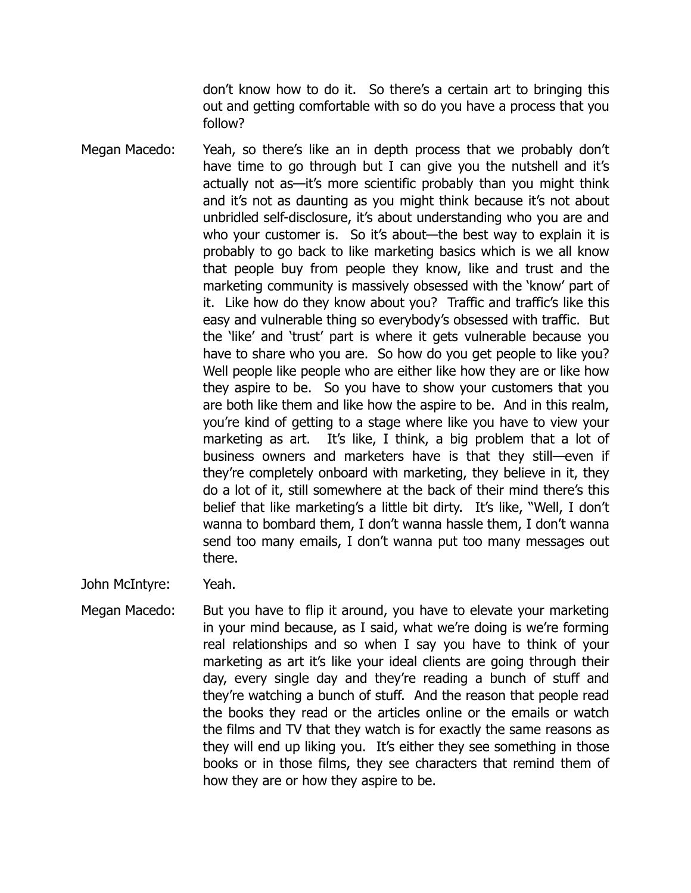don't know how to do it. So there's a certain art to bringing this out and getting comfortable with so do you have a process that you follow?

- Megan Macedo: Yeah, so there's like an in depth process that we probably don't have time to go through but I can give you the nutshell and it's actually not as—it's more scientific probably than you might think and it's not as daunting as you might think because it's not about unbridled self-disclosure, it's about understanding who you are and who your customer is. So it's about—the best way to explain it is probably to go back to like marketing basics which is we all know that people buy from people they know, like and trust and the marketing community is massively obsessed with the 'know' part of it. Like how do they know about you? Traffic and traffic's like this easy and vulnerable thing so everybody's obsessed with traffic. But the 'like' and 'trust' part is where it gets vulnerable because you have to share who you are. So how do you get people to like you? Well people like people who are either like how they are or like how they aspire to be. So you have to show your customers that you are both like them and like how the aspire to be. And in this realm, you're kind of getting to a stage where like you have to view your marketing as art. It's like, I think, a big problem that a lot of business owners and marketers have is that they still—even if they're completely onboard with marketing, they believe in it, they do a lot of it, still somewhere at the back of their mind there's this belief that like marketing's a little bit dirty. It's like, "Well, I don't wanna to bombard them, I don't wanna hassle them, I don't wanna send too many emails, I don't wanna put too many messages out there.
- John McIntyre: Yeah.
- Megan Macedo: But you have to flip it around, you have to elevate your marketing in your mind because, as I said, what we're doing is we're forming real relationships and so when I say you have to think of your marketing as art it's like your ideal clients are going through their day, every single day and they're reading a bunch of stuff and they're watching a bunch of stuff. And the reason that people read the books they read or the articles online or the emails or watch the films and TV that they watch is for exactly the same reasons as they will end up liking you. It's either they see something in those books or in those films, they see characters that remind them of how they are or how they aspire to be.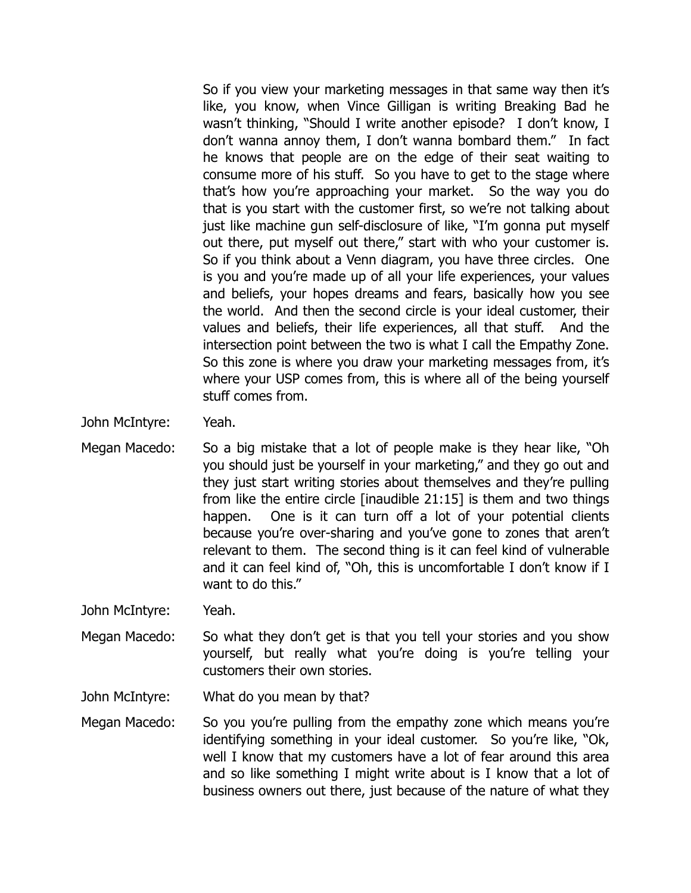So if you view your marketing messages in that same way then it's like, you know, when Vince Gilligan is writing Breaking Bad he wasn't thinking, "Should I write another episode? I don't know, I don't wanna annoy them, I don't wanna bombard them." In fact he knows that people are on the edge of their seat waiting to consume more of his stuff. So you have to get to the stage where that's how you're approaching your market. So the way you do that is you start with the customer first, so we're not talking about just like machine gun self-disclosure of like, "I'm gonna put myself out there, put myself out there," start with who your customer is. So if you think about a Venn diagram, you have three circles. One is you and you're made up of all your life experiences, your values and beliefs, your hopes dreams and fears, basically how you see the world. And then the second circle is your ideal customer, their values and beliefs, their life experiences, all that stuff. And the intersection point between the two is what I call the Empathy Zone. So this zone is where you draw your marketing messages from, it's where your USP comes from, this is where all of the being yourself stuff comes from.

- John McIntyre: Yeah.
- Megan Macedo: So a big mistake that a lot of people make is they hear like, "Oh you should just be yourself in your marketing," and they go out and they just start writing stories about themselves and they're pulling from like the entire circle [inaudible 21:15] is them and two things happen. One is it can turn off a lot of your potential clients because you're over-sharing and you've gone to zones that aren't relevant to them. The second thing is it can feel kind of vulnerable and it can feel kind of, "Oh, this is uncomfortable I don't know if I want to do this."

John McIntyre: Yeah.

Megan Macedo: So what they don't get is that you tell your stories and you show yourself, but really what you're doing is you're telling your customers their own stories.

John McIntyre: What do you mean by that?

Megan Macedo: So you you're pulling from the empathy zone which means you're identifying something in your ideal customer. So you're like, "Ok, well I know that my customers have a lot of fear around this area and so like something I might write about is I know that a lot of business owners out there, just because of the nature of what they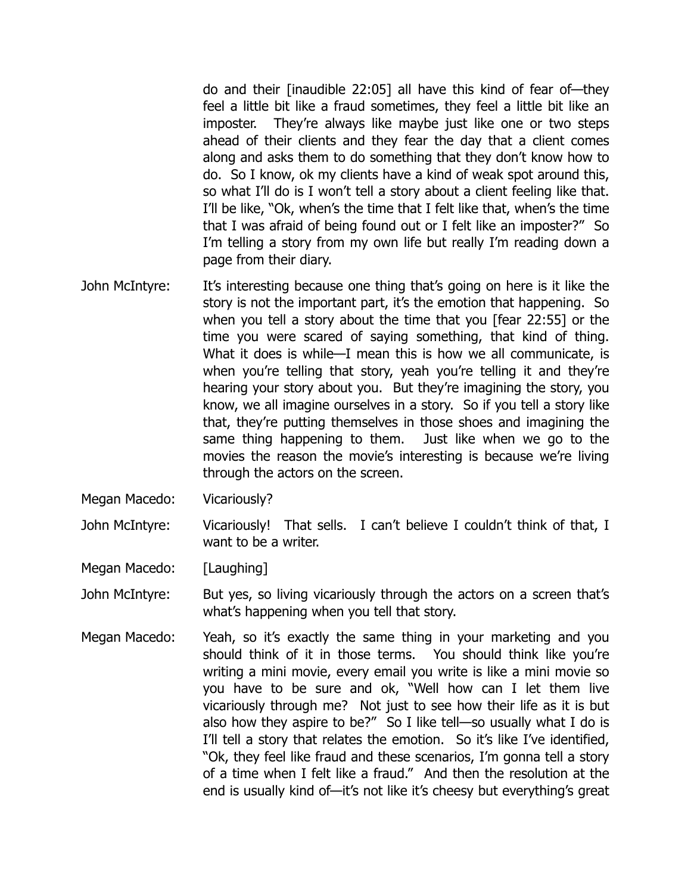do and their [inaudible 22:05] all have this kind of fear of—they feel a little bit like a fraud sometimes, they feel a little bit like an imposter. They're always like maybe just like one or two steps ahead of their clients and they fear the day that a client comes along and asks them to do something that they don't know how to do. So I know, ok my clients have a kind of weak spot around this, so what I'll do is I won't tell a story about a client feeling like that. I'll be like, "Ok, when's the time that I felt like that, when's the time that I was afraid of being found out or I felt like an imposter?" So I'm telling a story from my own life but really I'm reading down a page from their diary.

- John McIntyre: It's interesting because one thing that's going on here is it like the story is not the important part, it's the emotion that happening. So when you tell a story about the time that you [fear 22:55] or the time you were scared of saying something, that kind of thing. What it does is while—I mean this is how we all communicate, is when you're telling that story, yeah you're telling it and they're hearing your story about you. But they're imagining the story, you know, we all imagine ourselves in a story. So if you tell a story like that, they're putting themselves in those shoes and imagining the same thing happening to them. Just like when we go to the movies the reason the movie's interesting is because we're living through the actors on the screen.
- Megan Macedo: Vicariously?

John McIntyre: Vicariously! That sells. I can't believe I couldn't think of that, I want to be a writer.

Megan Macedo: [Laughing]

John McIntyre: But yes, so living vicariously through the actors on a screen that's what's happening when you tell that story.

Megan Macedo: Yeah, so it's exactly the same thing in your marketing and you should think of it in those terms. You should think like you're writing a mini movie, every email you write is like a mini movie so you have to be sure and ok, "Well how can I let them live vicariously through me? Not just to see how their life as it is but also how they aspire to be?" So I like tell—so usually what I do is I'll tell a story that relates the emotion. So it's like I've identified, "Ok, they feel like fraud and these scenarios, I'm gonna tell a story of a time when I felt like a fraud." And then the resolution at the end is usually kind of—it's not like it's cheesy but everything's great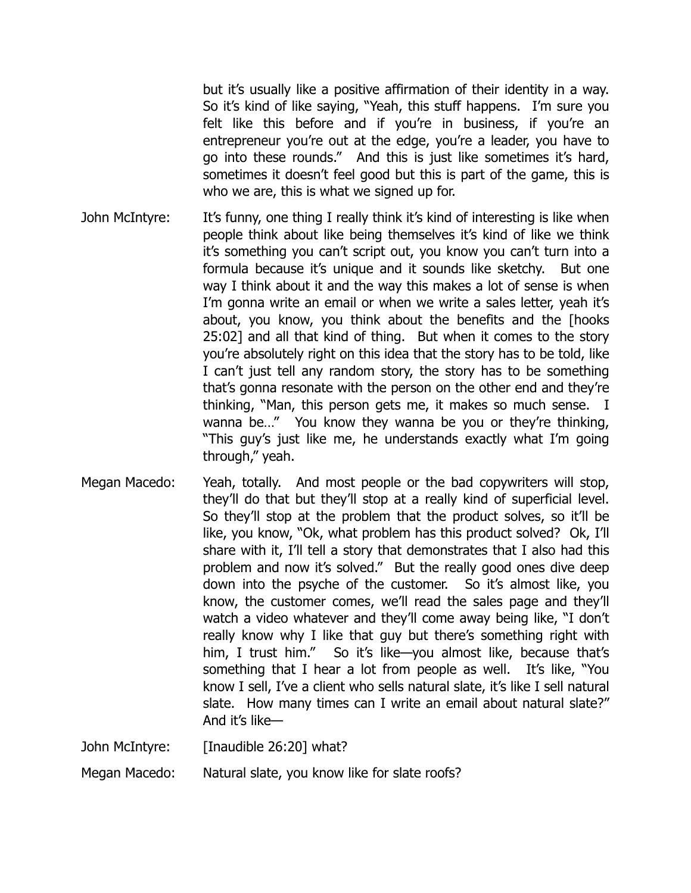but it's usually like a positive affirmation of their identity in a way. So it's kind of like saying, "Yeah, this stuff happens. I'm sure you felt like this before and if you're in business, if you're an entrepreneur you're out at the edge, you're a leader, you have to go into these rounds." And this is just like sometimes it's hard, sometimes it doesn't feel good but this is part of the game, this is who we are, this is what we signed up for.

- John McIntyre: It's funny, one thing I really think it's kind of interesting is like when people think about like being themselves it's kind of like we think it's something you can't script out, you know you can't turn into a formula because it's unique and it sounds like sketchy. But one way I think about it and the way this makes a lot of sense is when I'm gonna write an email or when we write a sales letter, yeah it's about, you know, you think about the benefits and the [hooks 25:02] and all that kind of thing. But when it comes to the story you're absolutely right on this idea that the story has to be told, like I can't just tell any random story, the story has to be something that's gonna resonate with the person on the other end and they're thinking, "Man, this person gets me, it makes so much sense. I wanna be..." You know they wanna be you or they're thinking, "This guy's just like me, he understands exactly what I'm going through," yeah.
- Megan Macedo: Yeah, totally. And most people or the bad copywriters will stop, they'll do that but they'll stop at a really kind of superficial level. So they'll stop at the problem that the product solves, so it'll be like, you know, "Ok, what problem has this product solved? Ok, I'll share with it, I'll tell a story that demonstrates that I also had this problem and now it's solved." But the really good ones dive deep down into the psyche of the customer. So it's almost like, you know, the customer comes, we'll read the sales page and they'll watch a video whatever and they'll come away being like, "I don't really know why I like that guy but there's something right with him, I trust him." So it's like—you almost like, because that's something that I hear a lot from people as well. It's like, "You know I sell, I've a client who sells natural slate, it's like I sell natural slate. How many times can I write an email about natural slate?" And it's like—

John McIntyre: [Inaudible 26:20] what?

Megan Macedo: Natural slate, you know like for slate roofs?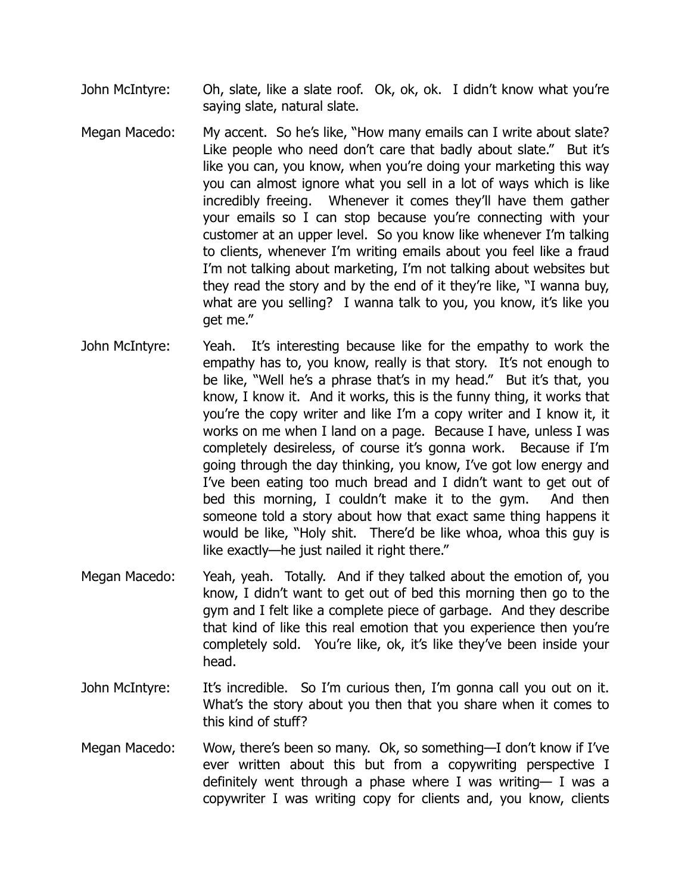- John McIntyre: Oh, slate, like a slate roof. Ok, ok, ok. I didn't know what you're saying slate, natural slate.
- Megan Macedo: My accent. So he's like, "How many emails can I write about slate? Like people who need don't care that badly about slate." But it's like you can, you know, when you're doing your marketing this way you can almost ignore what you sell in a lot of ways which is like incredibly freeing. Whenever it comes they'll have them gather your emails so I can stop because you're connecting with your customer at an upper level. So you know like whenever I'm talking to clients, whenever I'm writing emails about you feel like a fraud I'm not talking about marketing, I'm not talking about websites but they read the story and by the end of it they're like, "I wanna buy, what are you selling? I wanna talk to you, you know, it's like you get me."
- John McIntyre: Yeah. It's interesting because like for the empathy to work the empathy has to, you know, really is that story. It's not enough to be like, "Well he's a phrase that's in my head." But it's that, you know, I know it. And it works, this is the funny thing, it works that you're the copy writer and like I'm a copy writer and I know it, it works on me when I land on a page. Because I have, unless I was completely desireless, of course it's gonna work. Because if I'm going through the day thinking, you know, I've got low energy and I've been eating too much bread and I didn't want to get out of bed this morning, I couldn't make it to the gym. And then someone told a story about how that exact same thing happens it would be like, "Holy shit. There'd be like whoa, whoa this guy is like exactly—he just nailed it right there."
- Megan Macedo: Yeah, yeah. Totally. And if they talked about the emotion of, you know, I didn't want to get out of bed this morning then go to the gym and I felt like a complete piece of garbage. And they describe that kind of like this real emotion that you experience then you're completely sold. You're like, ok, it's like they've been inside your head.
- John McIntyre: It's incredible. So I'm curious then, I'm gonna call you out on it. What's the story about you then that you share when it comes to this kind of stuff?
- Megan Macedo: Wow, there's been so many. Ok, so something—I don't know if I've ever written about this but from a copywriting perspective I definitely went through a phase where I was writing— I was a copywriter I was writing copy for clients and, you know, clients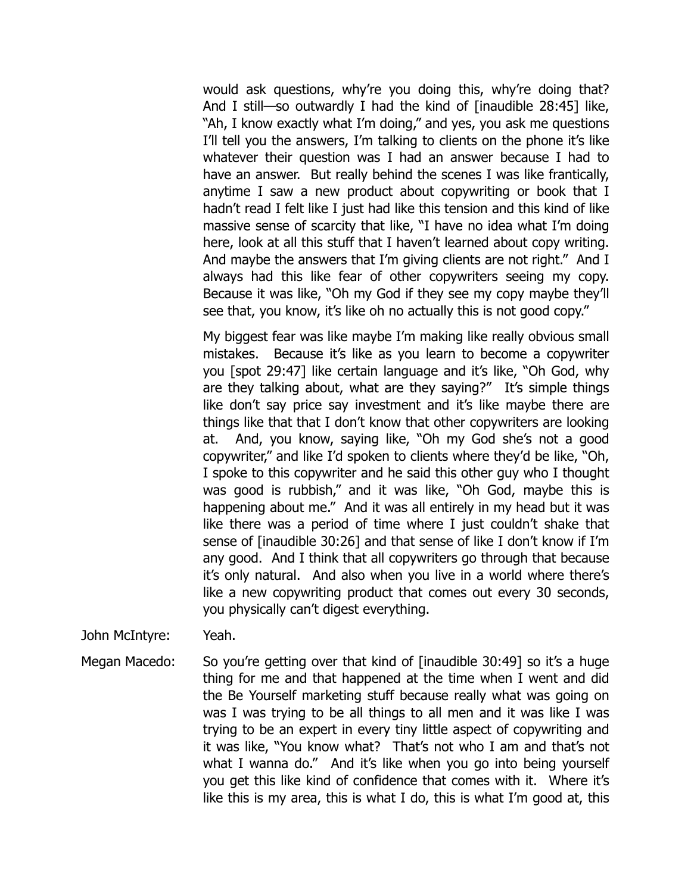would ask questions, why're you doing this, why're doing that? And I still—so outwardly I had the kind of [inaudible 28:45] like, "Ah, I know exactly what I'm doing," and yes, you ask me questions I'll tell you the answers, I'm talking to clients on the phone it's like whatever their question was I had an answer because I had to have an answer. But really behind the scenes I was like frantically, anytime I saw a new product about copywriting or book that I hadn't read I felt like I just had like this tension and this kind of like massive sense of scarcity that like, "I have no idea what I'm doing here, look at all this stuff that I haven't learned about copy writing. And maybe the answers that I'm giving clients are not right." And I always had this like fear of other copywriters seeing my copy. Because it was like, "Oh my God if they see my copy maybe they'll see that, you know, it's like oh no actually this is not good copy."

My biggest fear was like maybe I'm making like really obvious small mistakes. Because it's like as you learn to become a copywriter you [spot 29:47] like certain language and it's like, "Oh God, why are they talking about, what are they saying?" It's simple things like don't say price say investment and it's like maybe there are things like that that I don't know that other copywriters are looking at. And, you know, saying like, "Oh my God she's not a good copywriter," and like I'd spoken to clients where they'd be like, "Oh, I spoke to this copywriter and he said this other guy who I thought was good is rubbish," and it was like, "Oh God, maybe this is happening about me." And it was all entirely in my head but it was like there was a period of time where I just couldn't shake that sense of [inaudible 30:26] and that sense of like I don't know if I'm any good. And I think that all copywriters go through that because it's only natural. And also when you live in a world where there's like a new copywriting product that comes out every 30 seconds, you physically can't digest everything.

John McIntyre: Yeah.

Megan Macedo: So you're getting over that kind of [inaudible 30:49] so it's a huge thing for me and that happened at the time when I went and did the Be Yourself marketing stuff because really what was going on was I was trying to be all things to all men and it was like I was trying to be an expert in every tiny little aspect of copywriting and it was like, "You know what? That's not who I am and that's not what I wanna do." And it's like when you go into being yourself you get this like kind of confidence that comes with it. Where it's like this is my area, this is what I do, this is what I'm good at, this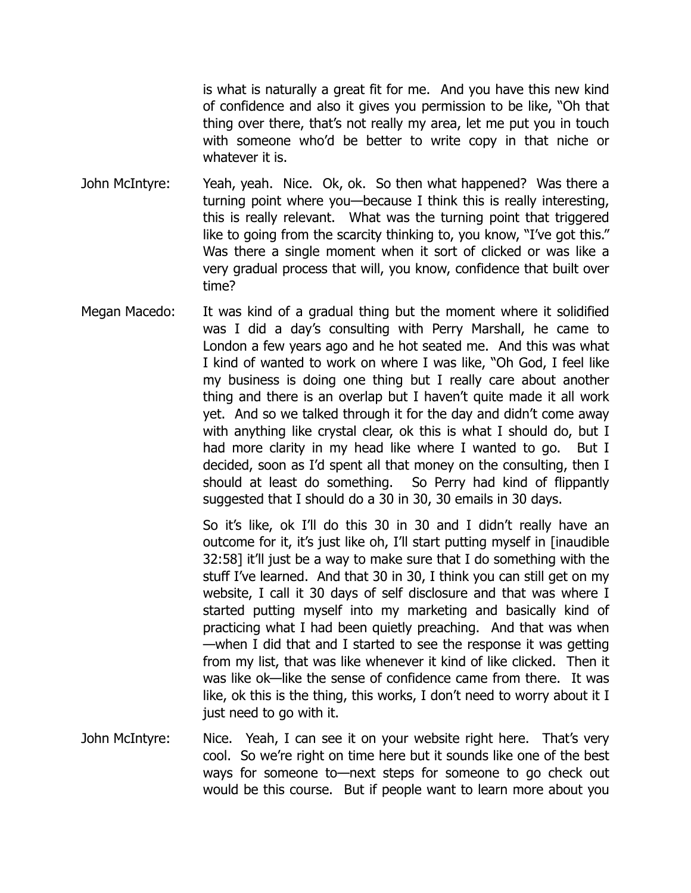is what is naturally a great fit for me. And you have this new kind of confidence and also it gives you permission to be like, "Oh that thing over there, that's not really my area, let me put you in touch with someone who'd be better to write copy in that niche or whatever it is.

- John McIntyre: Yeah, yeah. Nice. Ok, ok. So then what happened? Was there a turning point where you—because I think this is really interesting, this is really relevant. What was the turning point that triggered like to going from the scarcity thinking to, you know, "I've got this." Was there a single moment when it sort of clicked or was like a very gradual process that will, you know, confidence that built over time?
- Megan Macedo: It was kind of a gradual thing but the moment where it solidified was I did a day's consulting with Perry Marshall, he came to London a few years ago and he hot seated me. And this was what I kind of wanted to work on where I was like, "Oh God, I feel like my business is doing one thing but I really care about another thing and there is an overlap but I haven't quite made it all work yet. And so we talked through it for the day and didn't come away with anything like crystal clear, ok this is what I should do, but I had more clarity in my head like where I wanted to go. But I decided, soon as I'd spent all that money on the consulting, then I should at least do something. So Perry had kind of flippantly suggested that I should do a 30 in 30, 30 emails in 30 days.

So it's like, ok I'll do this 30 in 30 and I didn't really have an outcome for it, it's just like oh, I'll start putting myself in [inaudible 32:58] it'll just be a way to make sure that I do something with the stuff I've learned. And that 30 in 30, I think you can still get on my website, I call it 30 days of self disclosure and that was where I started putting myself into my marketing and basically kind of practicing what I had been quietly preaching. And that was when —when I did that and I started to see the response it was getting from my list, that was like whenever it kind of like clicked. Then it was like ok—like the sense of confidence came from there. It was like, ok this is the thing, this works, I don't need to worry about it I just need to go with it.

John McIntyre: Nice. Yeah, I can see it on your website right here. That's very cool. So we're right on time here but it sounds like one of the best ways for someone to—next steps for someone to go check out would be this course. But if people want to learn more about you